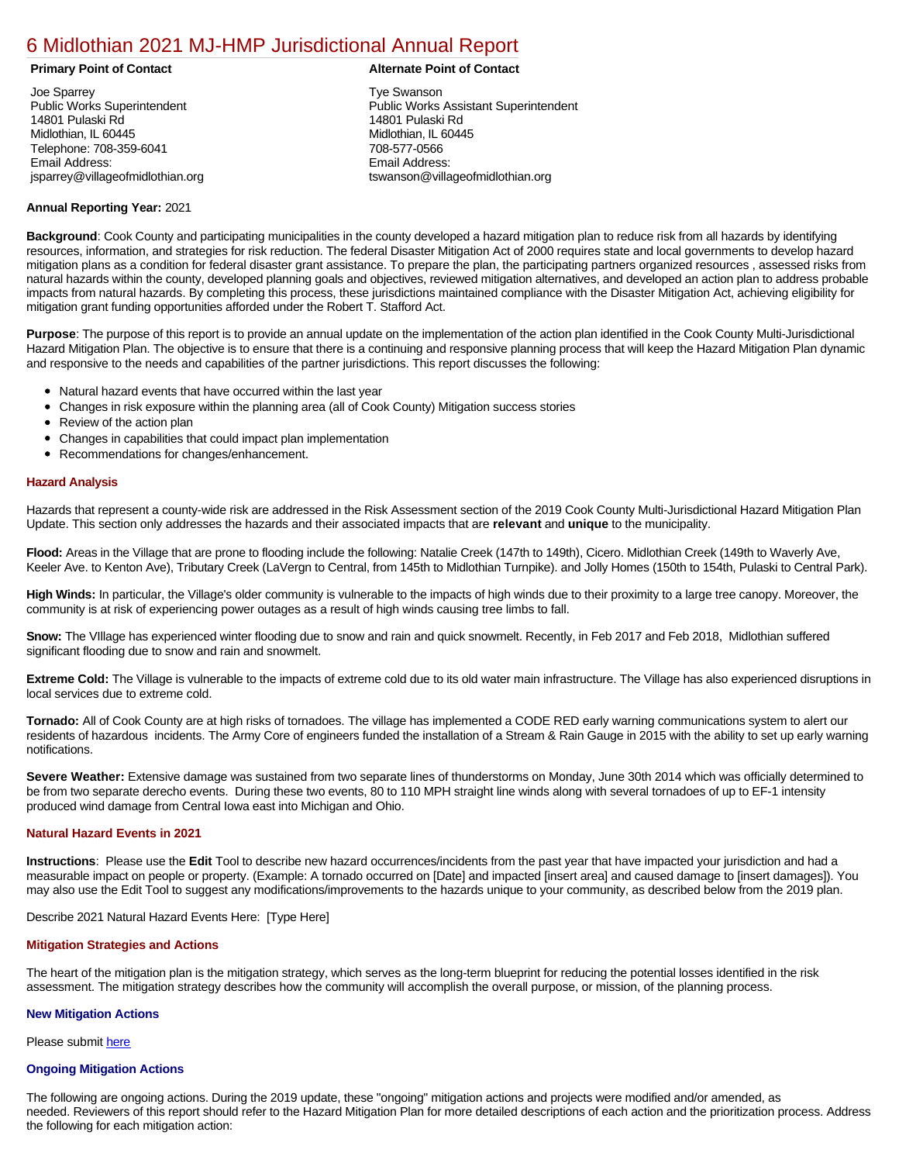# [6 Midlothian 2021 MJ-HMP Jurisdictional Annual Report](https://midlothian.isc-cemp.com/Cemp/Details?id=8322852)

Joe Sparrey Public Works Superintendent 14801 Pulaski Rd Midlothian, IL 60445 Telephone: 708-359-6041 Email Address: jsparrey@villageofmidlothian.org

# **Primary Point of Contact Alternate Point of Contact**

Tye Swanson Public Works Assistant Superintendent 14801 Pulaski Rd Midlothian, IL 60445 708-577-0566 Email Address: tswanson@villageofmidlothian.org

# **Annual Reporting Year:** 2021

**Background**: Cook County and participating municipalities in the county developed a hazard mitigation plan to reduce risk from all hazards by identifying resources, information, and strategies for risk reduction. The federal Disaster Mitigation Act of 2000 requires state and local governments to develop hazard mitigation plans as a condition for federal disaster grant assistance. To prepare the plan, the participating partners organized resources , assessed risks from natural hazards within the county, developed planning goals and objectives, reviewed mitigation alternatives, and developed an action plan to address probable impacts from natural hazards. By completing this process, these jurisdictions maintained compliance with the Disaster Mitigation Act, achieving eligibility for mitigation grant funding opportunities afforded under the Robert T. Stafford Act.

**Purpose**: The purpose of this report is to provide an annual update on the implementation of the action plan identified in the Cook County Multi-Jurisdictional Hazard Mitigation Plan. The objective is to ensure that there is a continuing and responsive planning process that will keep the Hazard Mitigation Plan dynamic and responsive to the needs and capabilities of the partner jurisdictions. This report discusses the following:

- Natural hazard events that have occurred within the last year
- Changes in risk exposure within the planning area (all of Cook County) Mitigation success stories
- $\bullet$ Review of the action plan
- Changes in capabilities that could impact plan implementation
- Recommendations for changes/enhancement.

### **Hazard Analysis**

Hazards that represent a county-wide risk are addressed in the Risk Assessment section of the 2019 Cook County Multi-Jurisdictional Hazard Mitigation Plan Update. This section only addresses the hazards and their associated impacts that are **relevant** and **unique** to the municipality.

**Flood:** Areas in the Village that are prone to flooding include the following: Natalie Creek (147th to 149th), Cicero. Midlothian Creek (149th to Waverly Ave, Keeler Ave. to Kenton Ave), Tributary Creek (LaVergn to Central, from 145th to Midlothian Turnpike). and Jolly Homes (150th to 154th, Pulaski to Central Park).

**High Winds:** In particular, the Village's older community is vulnerable to the impacts of high winds due to their proximity to a large tree canopy. Moreover, the community is at risk of experiencing power outages as a result of high winds causing tree limbs to fall.

**Snow:** The VIllage has experienced winter flooding due to snow and rain and quick snowmelt. Recently, in Feb 2017 and Feb 2018, Midlothian suffered significant flooding due to snow and rain and snowmelt.

**Extreme Cold:** The Village is vulnerable to the impacts of extreme cold due to its old water main infrastructure. The Village has also experienced disruptions in local services due to extreme cold.

**Tornado:** All of Cook County are at high risks of tornadoes. The village has implemented a CODE RED early warning communications system to alert our residents of hazardous incidents. The Army Core of engineers funded the installation of a Stream & Rain Gauge in 2015 with the ability to set up early warning notifications.

**Severe Weather:** Extensive damage was sustained from two separate lines of thunderstorms on Monday, June 30th 2014 which was officially determined to be from two separate derecho events. During these two events, 80 to 110 MPH straight line winds along with several tornadoes of up to EF-1 intensity produced wind damage from Central Iowa east into Michigan and Ohio.

#### **Natural Hazard Events in 2021**

**Instructions**: Please use the **Edit** Tool to describe new hazard occurrences/incidents from the past year that have impacted your jurisdiction and had a measurable impact on people or property. (Example: A tornado occurred on [Date] and impacted [insert area] and caused damage to [insert damages]). You may also use the Edit Tool to suggest any modifications/improvements to the hazards unique to your community, as described below from the 2019 plan.

Describe 2021 Natural Hazard Events Here: [Type Here]

#### **Mitigation Strategies and Actions**

The heart of the mitigation plan is the mitigation strategy, which serves as the long-term blueprint for reducing the potential losses identified in the risk assessment. The mitigation strategy describes how the community will accomplish the overall purpose, or mission, of the planning process.

# **New Mitigation Actions**

Please submit [here](http://integratedsolutions.wufoo.com/forms/mg21jvf0jn639o/)

#### **Ongoing Mitigation Actions**

The following are ongoing actions. During the 2019 update, these "ongoing" mitigation actions and projects were modified and/or amended, as needed. Reviewers of this report should refer to the Hazard Mitigation Plan for more detailed descriptions of each action and the prioritization process. Address the following for each mitigation action: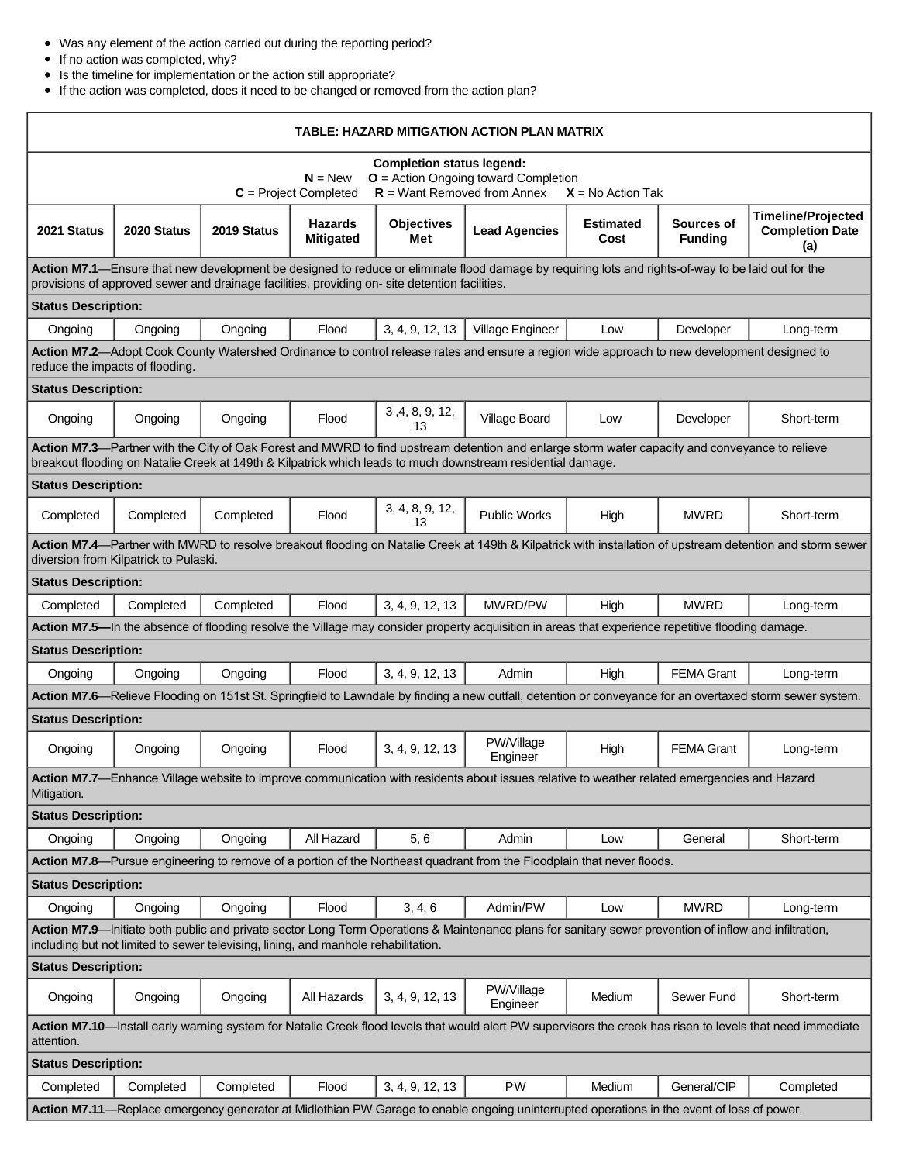- Was any element of the action carried out during the reporting period?
- If no action was completed, why?

 $\mathsf{r}$ 

- Is the timeline for implementation or the action still appropriate?
- If the action was completed, does it need to be changed or removed from the action plan?

| TABLE: HAZARD MITIGATION ACTION PLAN MATRIX                                                                                                                                                                                                                   |             |             |                                    |                          |                                                                                                                                            |                          |                              |                                                            |
|---------------------------------------------------------------------------------------------------------------------------------------------------------------------------------------------------------------------------------------------------------------|-------------|-------------|------------------------------------|--------------------------|--------------------------------------------------------------------------------------------------------------------------------------------|--------------------------|------------------------------|------------------------------------------------------------|
| <b>Completion status legend:</b><br>$O =$ Action Ongoing toward Completion<br>$N = New$<br>$R =$ Want Removed from Annex<br>$C = Project Completed$<br>$X = No$ Action Tak                                                                                    |             |             |                                    |                          |                                                                                                                                            |                          |                              |                                                            |
| 2021 Status                                                                                                                                                                                                                                                   | 2020 Status | 2019 Status | <b>Hazards</b><br><b>Mitigated</b> | <b>Objectives</b><br>Met | <b>Lead Agencies</b>                                                                                                                       | <b>Estimated</b><br>Cost | Sources of<br><b>Funding</b> | <b>Timeline/Projected</b><br><b>Completion Date</b><br>(a) |
| Action M7.1—Ensure that new development be designed to reduce or eliminate flood damage by requiring lots and rights-of-way to be laid out for the<br>provisions of approved sewer and drainage facilities, providing on-site detention facilities.           |             |             |                                    |                          |                                                                                                                                            |                          |                              |                                                            |
| <b>Status Description:</b>                                                                                                                                                                                                                                    |             |             |                                    |                          |                                                                                                                                            |                          |                              |                                                            |
| Ongoing                                                                                                                                                                                                                                                       | Ongoing     | Ongoing     | Flood                              | 3, 4, 9, 12, 13          | Village Engineer                                                                                                                           | Low                      | Developer                    | Long-term                                                  |
| Action M7.2—Adopt Cook County Watershed Ordinance to control release rates and ensure a region wide approach to new development designed to<br>reduce the impacts of flooding.                                                                                |             |             |                                    |                          |                                                                                                                                            |                          |                              |                                                            |
| <b>Status Description:</b>                                                                                                                                                                                                                                    |             |             |                                    |                          |                                                                                                                                            |                          |                              |                                                            |
| Ongoing                                                                                                                                                                                                                                                       | Ongoing     | Ongoing     | Flood                              | 3, 4, 8, 9, 12,<br>13    | Village Board                                                                                                                              | Low                      | Developer                    | Short-term                                                 |
| Action M7.3—Partner with the City of Oak Forest and MWRD to find upstream detention and enlarge storm water capacity and conveyance to relieve<br>breakout flooding on Natalie Creek at 149th & Kilpatrick which leads to much downstream residential damage. |             |             |                                    |                          |                                                                                                                                            |                          |                              |                                                            |
| <b>Status Description:</b>                                                                                                                                                                                                                                    |             |             |                                    |                          |                                                                                                                                            |                          |                              |                                                            |
| Completed                                                                                                                                                                                                                                                     | Completed   | Completed   | Flood                              | 3, 4, 8, 9, 12,<br>13    | <b>Public Works</b>                                                                                                                        | High                     | <b>MWRD</b>                  | Short-term                                                 |
| Action M7.4—Partner with MWRD to resolve breakout flooding on Natalie Creek at 149th & Kilpatrick with installation of upstream detention and storm sewer<br>diversion from Kilpatrick to Pulaski.                                                            |             |             |                                    |                          |                                                                                                                                            |                          |                              |                                                            |
| <b>Status Description:</b>                                                                                                                                                                                                                                    |             |             |                                    |                          |                                                                                                                                            |                          |                              |                                                            |
| Completed                                                                                                                                                                                                                                                     | Completed   | Completed   | Flood                              | 3, 4, 9, 12, 13          | MWRD/PW                                                                                                                                    | High                     | <b>MWRD</b>                  | Long-term                                                  |
|                                                                                                                                                                                                                                                               |             |             |                                    |                          |                                                                                                                                            |                          |                              |                                                            |
| Action M7.5-In the absence of flooding resolve the Village may consider property acquisition in areas that experience repetitive flooding damage.<br><b>Status Description:</b>                                                                               |             |             |                                    |                          |                                                                                                                                            |                          |                              |                                                            |
| Ongoing                                                                                                                                                                                                                                                       | Ongoing     | Ongoing     | Flood                              | 3, 4, 9, 12, 13          | Admin                                                                                                                                      | High                     | <b>FEMA Grant</b>            | Long-term                                                  |
| Action M7.6—Relieve Flooding on 151st St. Springfield to Lawndale by finding a new outfall, detention or conveyance for an overtaxed storm sewer system.                                                                                                      |             |             |                                    |                          |                                                                                                                                            |                          |                              |                                                            |
| <b>Status Description:</b>                                                                                                                                                                                                                                    |             |             |                                    |                          |                                                                                                                                            |                          |                              |                                                            |
| Ongoing                                                                                                                                                                                                                                                       | Ongoing     | Ongoing     | Flood                              | 3, 4, 9, 12, 13          | PW/Village<br>Engineer                                                                                                                     | High                     | <b>FEMA Grant</b>            | Long-term                                                  |
| Action M7.7—Enhance Village website to improve communication with residents about issues relative to weather related emergencies and Hazard<br>Mitigation.                                                                                                    |             |             |                                    |                          |                                                                                                                                            |                          |                              |                                                            |
| <b>Status Description:</b>                                                                                                                                                                                                                                    |             |             |                                    |                          |                                                                                                                                            |                          |                              |                                                            |
| Ongoing                                                                                                                                                                                                                                                       | Ongoing     | Ongoing     | All Hazard                         | 5, 6                     | Admin                                                                                                                                      | Low                      | General                      | Short-term                                                 |
|                                                                                                                                                                                                                                                               |             |             |                                    |                          | Action M7.8—Pursue engineering to remove of a portion of the Northeast quadrant from the Floodplain that never floods.                     |                          |                              |                                                            |
| <b>Status Description:</b>                                                                                                                                                                                                                                    |             |             |                                    |                          |                                                                                                                                            |                          |                              |                                                            |
| Ongoing                                                                                                                                                                                                                                                       | Ongoing     | Ongoing     | Flood                              | 3, 4, 6                  | Admin/PW                                                                                                                                   | Low                      | <b>MWRD</b>                  | Long-term                                                  |
| Action M7.9—Initiate both public and private sector Long Term Operations & Maintenance plans for sanitary sewer prevention of inflow and infiltration,<br>including but not limited to sewer televising, lining, and manhole rehabilitation.                  |             |             |                                    |                          |                                                                                                                                            |                          |                              |                                                            |
| <b>Status Description:</b>                                                                                                                                                                                                                                    |             |             |                                    |                          |                                                                                                                                            |                          |                              |                                                            |
| Ongoing                                                                                                                                                                                                                                                       | Ongoing     | Ongoing     | All Hazards                        | 3, 4, 9, 12, 13          | PW/Village<br>Engineer                                                                                                                     | Medium                   | Sewer Fund                   | Short-term                                                 |
| Action M7.10—Install early warning system for Natalie Creek flood levels that would alert PW supervisors the creek has risen to levels that need immediate<br>attention.                                                                                      |             |             |                                    |                          |                                                                                                                                            |                          |                              |                                                            |
| <b>Status Description:</b>                                                                                                                                                                                                                                    |             |             |                                    |                          |                                                                                                                                            |                          |                              |                                                            |
| Completed                                                                                                                                                                                                                                                     | Completed   | Completed   | Flood                              | 3, 4, 9, 12, 13          | <b>PW</b>                                                                                                                                  | Medium                   | General/CIP                  | Completed                                                  |
|                                                                                                                                                                                                                                                               |             |             |                                    |                          | Action M7.11—Replace emergency generator at Midlothian PW Garage to enable ongoing uninterrupted operations in the event of loss of power. |                          |                              |                                                            |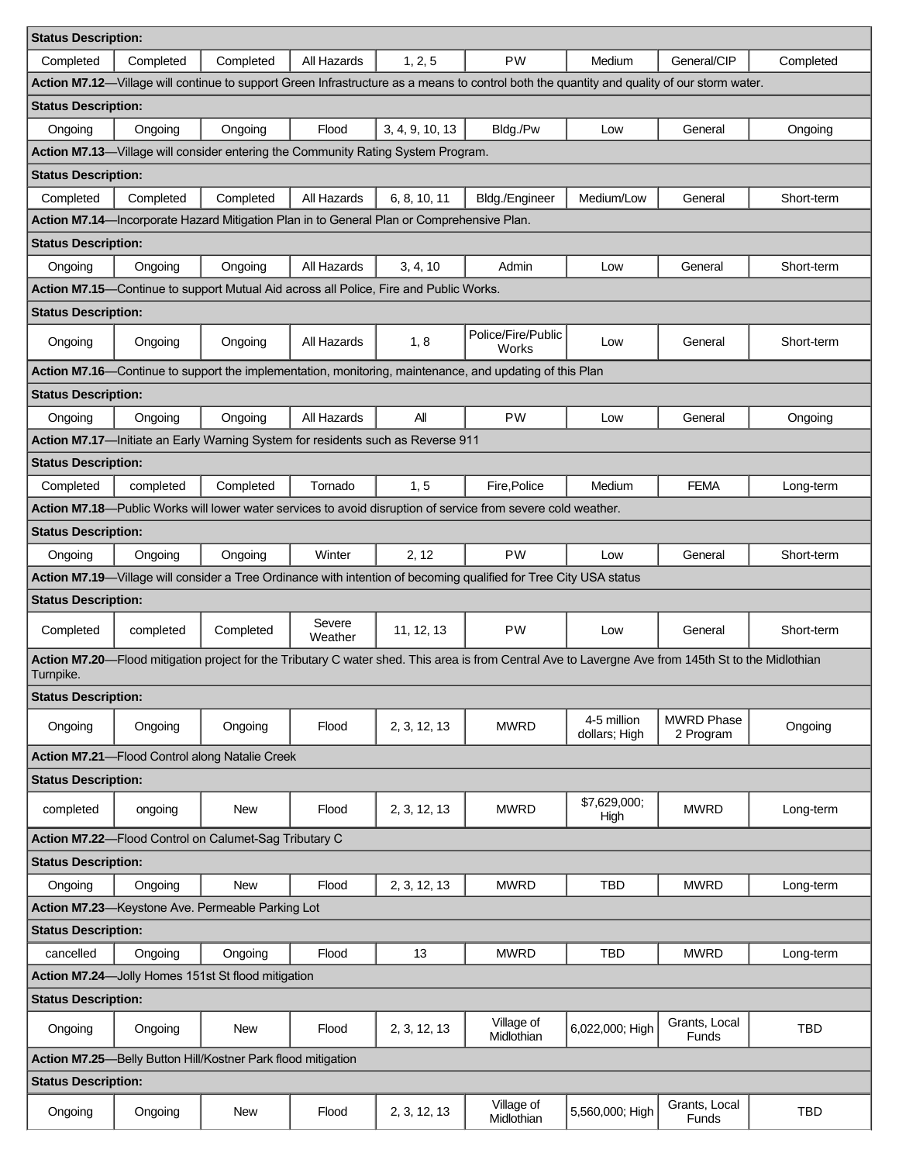| <b>Status Description:</b>                                                                                                                 |           |                                                                                       |                   |                 |                                                                                                                                                     |                              |                                |            |  |
|--------------------------------------------------------------------------------------------------------------------------------------------|-----------|---------------------------------------------------------------------------------------|-------------------|-----------------|-----------------------------------------------------------------------------------------------------------------------------------------------------|------------------------------|--------------------------------|------------|--|
| Completed                                                                                                                                  | Completed | Completed                                                                             | All Hazards       | 1, 2, 5         | <b>PW</b>                                                                                                                                           | Medium                       | General/CIP                    | Completed  |  |
| Action M7.12-Village will continue to support Green Infrastructure as a means to control both the quantity and quality of our storm water. |           |                                                                                       |                   |                 |                                                                                                                                                     |                              |                                |            |  |
| <b>Status Description:</b>                                                                                                                 |           |                                                                                       |                   |                 |                                                                                                                                                     |                              |                                |            |  |
| Ongoing                                                                                                                                    | Ongoing   | Ongoing                                                                               | Flood             | 3, 4, 9, 10, 13 | Bldg./Pw                                                                                                                                            | Low                          | General                        | Ongoing    |  |
| Action M7.13-Village will consider entering the Community Rating System Program.                                                           |           |                                                                                       |                   |                 |                                                                                                                                                     |                              |                                |            |  |
| <b>Status Description:</b>                                                                                                                 |           |                                                                                       |                   |                 |                                                                                                                                                     |                              |                                |            |  |
| Completed                                                                                                                                  | Completed | Completed                                                                             | All Hazards       | 6, 8, 10, 11    | Bldg./Engineer                                                                                                                                      | Medium/Low                   | General                        | Short-term |  |
| Action M7.14-Incorporate Hazard Mitigation Plan in to General Plan or Comprehensive Plan.                                                  |           |                                                                                       |                   |                 |                                                                                                                                                     |                              |                                |            |  |
| <b>Status Description:</b>                                                                                                                 |           |                                                                                       |                   |                 |                                                                                                                                                     |                              |                                |            |  |
| Ongoing                                                                                                                                    | Ongoing   | Ongoing                                                                               | All Hazards       | 3, 4, 10        | Admin                                                                                                                                               | Low                          | General                        | Short-term |  |
|                                                                                                                                            |           | Action M7.15—Continue to support Mutual Aid across all Police, Fire and Public Works. |                   |                 |                                                                                                                                                     |                              |                                |            |  |
| <b>Status Description:</b>                                                                                                                 |           |                                                                                       |                   |                 |                                                                                                                                                     |                              |                                |            |  |
| Ongoing                                                                                                                                    | Ongoing   | Ongoing                                                                               | All Hazards       | 1, 8            | Police/Fire/Public<br>Works                                                                                                                         | Low                          | General                        | Short-term |  |
|                                                                                                                                            |           |                                                                                       |                   |                 | Action M7.16—Continue to support the implementation, monitoring, maintenance, and updating of this Plan                                             |                              |                                |            |  |
| <b>Status Description:</b>                                                                                                                 |           |                                                                                       |                   |                 |                                                                                                                                                     |                              |                                |            |  |
| Ongoing                                                                                                                                    | Ongoing   | Ongoing                                                                               | All Hazards       | All             | <b>PW</b>                                                                                                                                           | Low                          | General                        | Ongoing    |  |
|                                                                                                                                            |           | Action M7.17-Initiate an Early Warning System for residents such as Reverse 911       |                   |                 |                                                                                                                                                     |                              |                                |            |  |
| <b>Status Description:</b>                                                                                                                 |           |                                                                                       |                   |                 |                                                                                                                                                     |                              |                                |            |  |
| Completed                                                                                                                                  | completed | Completed                                                                             | Tornado           | 1, 5            | Fire, Police                                                                                                                                        | Medium                       | <b>FEMA</b>                    | Long-term  |  |
|                                                                                                                                            |           |                                                                                       |                   |                 | Action M7.18-Public Works will lower water services to avoid disruption of service from severe cold weather.                                        |                              |                                |            |  |
| <b>Status Description:</b>                                                                                                                 |           |                                                                                       |                   |                 |                                                                                                                                                     |                              |                                |            |  |
| Ongoing                                                                                                                                    | Ongoing   | Ongoing                                                                               | Winter            | 2, 12           | <b>PW</b>                                                                                                                                           | Low                          | General                        | Short-term |  |
|                                                                                                                                            |           |                                                                                       |                   |                 | Action M7.19-Village will consider a Tree Ordinance with intention of becoming qualified for Tree City USA status                                   |                              |                                |            |  |
| <b>Status Description:</b>                                                                                                                 |           |                                                                                       |                   |                 |                                                                                                                                                     |                              |                                |            |  |
| Completed                                                                                                                                  | completed | Completed                                                                             | Severe<br>Weather | 11, 12, 13      | <b>PW</b>                                                                                                                                           | Low                          | General                        | Short-term |  |
| Turnpike.                                                                                                                                  |           |                                                                                       |                   |                 | Action M7.20—Flood mitigation project for the Tributary C water shed. This area is from Central Ave to Lavergne Ave from 145th St to the Midlothian |                              |                                |            |  |
| <b>Status Description:</b>                                                                                                                 |           |                                                                                       |                   |                 |                                                                                                                                                     |                              |                                |            |  |
| Ongoing                                                                                                                                    | Ongoing   | Ongoing                                                                               | Flood             | 2, 3, 12, 13    | <b>MWRD</b>                                                                                                                                         | 4-5 million<br>dollars; High | <b>MWRD Phase</b><br>2 Program | Ongoing    |  |
| Action M7.21-Flood Control along Natalie Creek                                                                                             |           |                                                                                       |                   |                 |                                                                                                                                                     |                              |                                |            |  |
| <b>Status Description:</b>                                                                                                                 |           |                                                                                       |                   |                 |                                                                                                                                                     |                              |                                |            |  |
| completed                                                                                                                                  | ongoing   | New                                                                                   | Flood             | 2, 3, 12, 13    | <b>MWRD</b>                                                                                                                                         | \$7,629,000;<br>High         | <b>MWRD</b>                    | Long-term  |  |
|                                                                                                                                            |           | Action M7.22-Flood Control on Calumet-Sag Tributary C                                 |                   |                 |                                                                                                                                                     |                              |                                |            |  |
| <b>Status Description:</b>                                                                                                                 |           |                                                                                       |                   |                 |                                                                                                                                                     |                              |                                |            |  |
| Ongoing                                                                                                                                    | Ongoing   | <b>New</b>                                                                            | Flood             | 2, 3, 12, 13    | <b>MWRD</b>                                                                                                                                         | TBD                          | <b>MWRD</b>                    | Long-term  |  |
|                                                                                                                                            |           | Action M7.23-Keystone Ave. Permeable Parking Lot                                      |                   |                 |                                                                                                                                                     |                              |                                |            |  |
| <b>Status Description:</b>                                                                                                                 |           |                                                                                       |                   |                 |                                                                                                                                                     |                              |                                |            |  |
| cancelled                                                                                                                                  | Ongoing   | Ongoing                                                                               | Flood             | 13              | <b>MWRD</b>                                                                                                                                         | <b>TBD</b>                   | <b>MWRD</b>                    | Long-term  |  |
| Action M7.24-Jolly Homes 151st St flood mitigation                                                                                         |           |                                                                                       |                   |                 |                                                                                                                                                     |                              |                                |            |  |
| <b>Status Description:</b>                                                                                                                 |           |                                                                                       |                   |                 |                                                                                                                                                     |                              |                                |            |  |
| Ongoing                                                                                                                                    | Ongoing   | New                                                                                   | Flood             | 2, 3, 12, 13    | Village of<br>Midlothian                                                                                                                            | 6,022,000; High              | Grants, Local<br><b>Funds</b>  | <b>TBD</b> |  |
| Action M7.25-Belly Button Hill/Kostner Park flood mitigation                                                                               |           |                                                                                       |                   |                 |                                                                                                                                                     |                              |                                |            |  |
| <b>Status Description:</b>                                                                                                                 |           |                                                                                       |                   |                 |                                                                                                                                                     |                              |                                |            |  |
| Ongoing                                                                                                                                    | Ongoing   | New                                                                                   | Flood             | 2, 3, 12, 13    | Village of<br>Midlothian                                                                                                                            | 5,560,000; High              | Grants, Local<br>Funds         | <b>TBD</b> |  |